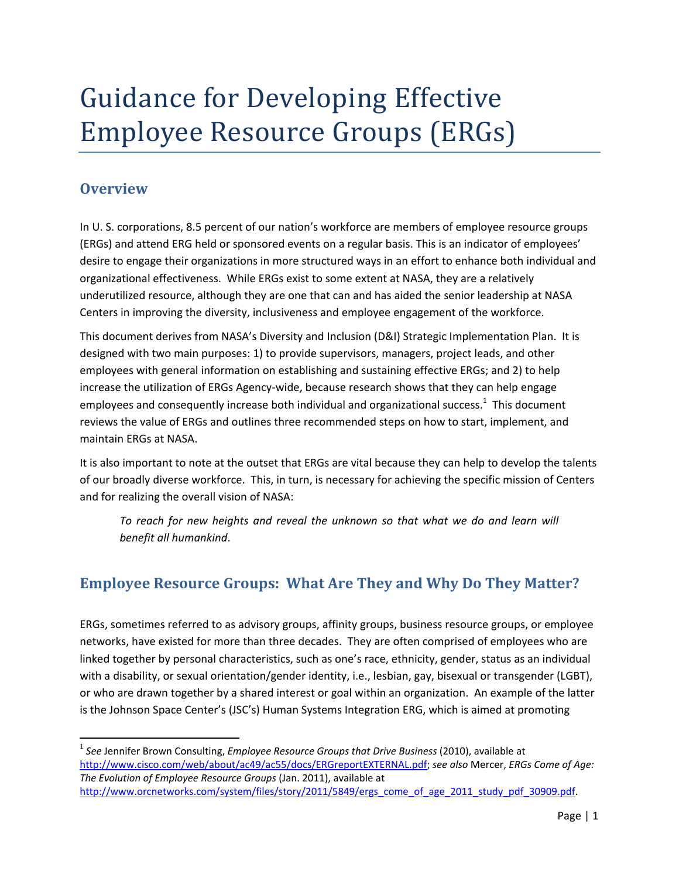# Guidance for Developing Effective Employee Resource Groups (ERGs)

### **Overview**

In U. S. corporations, 8.5 percent of our nation's workforce are members of employee resource groups (ERGs) and attend ERG held or sponsored events on a regular basis. This is an indicator of employees' desire to engage their organizations in more structured ways in an effort to enhance both individual and organizational effectiveness. While ERGs exist to some extent at NASA, they are a relatively underutilized resource, although they are one that can and has aided the senior leadership at NASA Centers in improving the diversity, inclusiveness and employee engagement of the workforce.

This document derives from NASA's Diversity and Inclusion (D&I) Strategic Implementation Plan. It is designed with two main purposes: 1) to provide supervisors, managers, project leads, and other employees with general information on establishing and sustaining effective ERGs; and 2) to help increase the utilization of ERGs Agency-wide, because research shows that they can help engage employees and consequently increase both individual and organizational success.<sup>1</sup> This document reviews the value of ERGs and outlines three recommended steps on how to start, implement, and maintain ERGs at NASA.

It is also important to note at the outset that ERGs are vital because they can help to develop the talents of our broadly diverse workforce. This, in turn, is necessary for achieving the specific mission of Centers and for realizing the overall vision of NASA:

*To reach for new heights and reveal the unknown so that what we do and learn will benefit all humankind*.

## **Employee Resource Groups: What Are They and Why Do They Matter?**

ERGs, sometimes referred to as advisory groups, affinity groups, business resource groups, or employee networks, have existed for more than three decades. They are often comprised of employees who are linked together by personal characteristics, such as one's race, ethnicity, gender, status as an individual with a disability, or sexual orientation/gender identity, i.e., lesbian, gay, bisexual or transgender (LGBT), or who are drawn together by a shared interest or goal within an organization. An example of the latter is the Johnson Space Center's (JSC's) Human Systems Integration ERG, which is aimed at promoting

<sup>1</sup> *See* Jennifer Brown Consulting, *Employee Resource Groups that Drive Business* (2010), available at http://www.cisco.com/web/about/ac49/ac55/docs/ERGreportEXTERNAL.pdf; *see also* Mercer, *ERGs Come of Age: The Evolution of Employee Resource Groups* (Jan. 2011), available at http://www.orcnetworks.com/system/files/story/2011/5849/ergs\_come\_of\_age\_2011\_study\_pdf\_30909.pdf.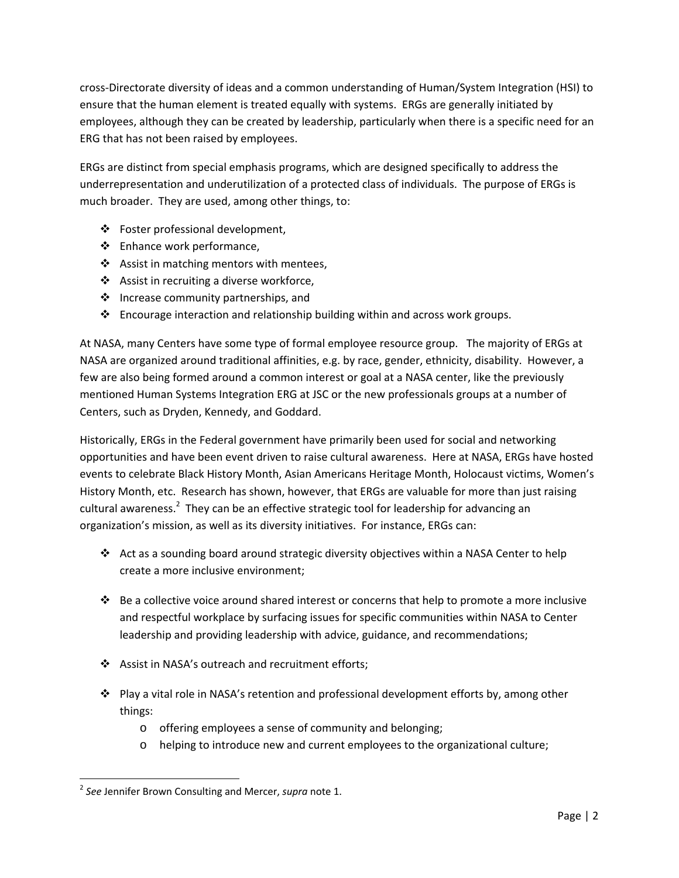cross‐Directorate diversity of ideas and a common understanding of Human/System Integration (HSI) to ensure that the human element is treated equally with systems. ERGs are generally initiated by employees, although they can be created by leadership, particularly when there is a specific need for an ERG that has not been raised by employees.

ERGs are distinct from special emphasis programs, which are designed specifically to address the underrepresentation and underutilization of a protected class of individuals. The purpose of ERGs is much broader. They are used, among other things, to:

- Foster professional development,
- Enhance work performance,
- ❖ Assist in matching mentors with mentees,
- Assist in recruiting a diverse workforce,
- $\cdot$  Increase community partnerships, and
- $\clubsuit$  Encourage interaction and relationship building within and across work groups.

At NASA, many Centers have some type of formal employee resource group. The majority of ERGs at NASA are organized around traditional affinities, e.g. by race, gender, ethnicity, disability. However, a few are also being formed around a common interest or goal at a NASA center, like the previously mentioned Human Systems Integration ERG at JSC or the new professionals groups at a number of Centers, such as Dryden, Kennedy, and Goddard.

Historically, ERGs in the Federal government have primarily been used for social and networking opportunities and have been event driven to raise cultural awareness. Here at NASA, ERGs have hosted events to celebrate Black History Month, Asian Americans Heritage Month, Holocaust victims, Women's History Month, etc. Research has shown, however, that ERGs are valuable for more than just raising cultural awareness.<sup>2</sup> They can be an effective strategic tool for leadership for advancing an organization's mission, as well as its diversity initiatives. For instance, ERGs can:

- Act as a sounding board around strategic diversity objectives within a NASA Center to help create a more inclusive environment;
- Be a collective voice around shared interest or concerns that help to promote a more inclusive and respectful workplace by surfacing issues for specific communities within NASA to Center leadership and providing leadership with advice, guidance, and recommendations;
- ❖ Assist in NASA's outreach and recruitment efforts;
- Play a vital role in NASA's retention and professional development efforts by, among other things:
	- o offering employees a sense of community and belonging;
	- o helping to introduce new and current employees to the organizational culture;

<sup>2</sup> *See* Jennifer Brown Consulting and Mercer, *supra* note 1.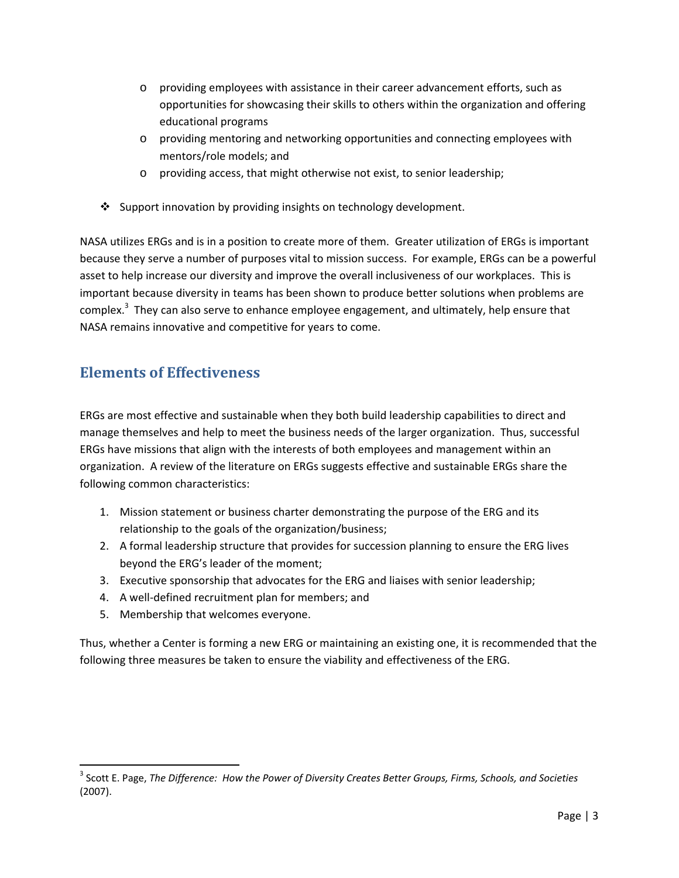- o providing employees with assistance in their career advancement efforts, such as opportunities for showcasing their skills to others within the organization and offering educational programs
- o providing mentoring and networking opportunities and connecting employees with mentors/role models; and
- o providing access, that might otherwise not exist, to senior leadership;
- ❖ Support innovation by providing insights on technology development.

NASA utilizes ERGs and is in a position to create more of them. Greater utilization of ERGs is important because they serve a number of purposes vital to mission success. For example, ERGs can be a powerful asset to help increase our diversity and improve the overall inclusiveness of our workplaces. This is important because diversity in teams has been shown to produce better solutions when problems are complex.<sup>3</sup> They can also serve to enhance employee engagement, and ultimately, help ensure that NASA remains innovative and competitive for years to come.

## **Elements of Effectiveness**

ERGs are most effective and sustainable when they both build leadership capabilities to direct and manage themselves and help to meet the business needs of the larger organization. Thus, successful ERGs have missions that align with the interests of both employees and management within an organization. A review of the literature on ERGs suggests effective and sustainable ERGs share the following common characteristics:

- 1. Mission statement or business charter demonstrating the purpose of the ERG and its relationship to the goals of the organization/business;
- 2. A formal leadership structure that provides for succession planning to ensure the ERG lives beyond the ERG's leader of the moment;
- 3. Executive sponsorship that advocates for the ERG and liaises with senior leadership;
- 4. A well‐defined recruitment plan for members; and
- 5. Membership that welcomes everyone.

Thus, whether a Center is forming a new ERG or maintaining an existing one, it is recommended that the following three measures be taken to ensure the viability and effectiveness of the ERG.

<sup>3</sup> Scott E. Page, *The Difference: How the Power of Diversity Creates Better Groups, Firms, Schools, and Societies* (2007).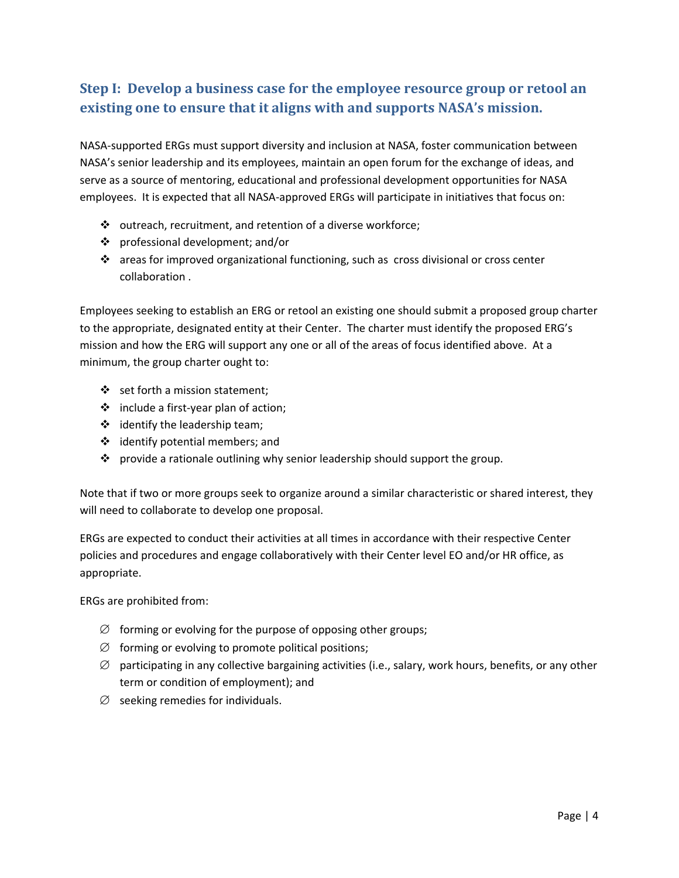# **Step I: Develop a business case for the employee resource group or retool an existing one to ensure that it aligns with and supports NASA's mission.**

NASA‐supported ERGs must support diversity and inclusion at NASA, foster communication between NASA's senior leadership and its employees, maintain an open forum for the exchange of ideas, and serve as a source of mentoring, educational and professional development opportunities for NASA employees. It is expected that all NASA-approved ERGs will participate in initiatives that focus on:

- $\cdot \cdot$  outreach, recruitment, and retention of a diverse workforce;
- professional development; and/or
- $\cdot \cdot$  areas for improved organizational functioning, such as cross divisional or cross center collaboration .

Employees seeking to establish an ERG or retool an existing one should submit a proposed group charter to the appropriate, designated entity at their Center. The charter must identify the proposed ERG's mission and how the ERG will support any one or all of the areas of focus identified above. At a minimum, the group charter ought to:

- $\div$  set forth a mission statement;
- include a first‐year plan of action;
- $\div$  identify the leadership team;
- $\div$  identify potential members; and
- $\div$  provide a rationale outlining why senior leadership should support the group.

Note that if two or more groups seek to organize around a similar characteristic or shared interest, they will need to collaborate to develop one proposal.

ERGs are expected to conduct their activities at all times in accordance with their respective Center policies and procedures and engage collaboratively with their Center level EO and/or HR office, as appropriate.

ERGs are prohibited from:

- $\varnothing$  forming or evolving for the purpose of opposing other groups;
- $\varnothing$  forming or evolving to promote political positions;
- $\varnothing$  participating in any collective bargaining activities (i.e., salary, work hours, benefits, or any other term or condition of employment); and
- $\varnothing$  seeking remedies for individuals.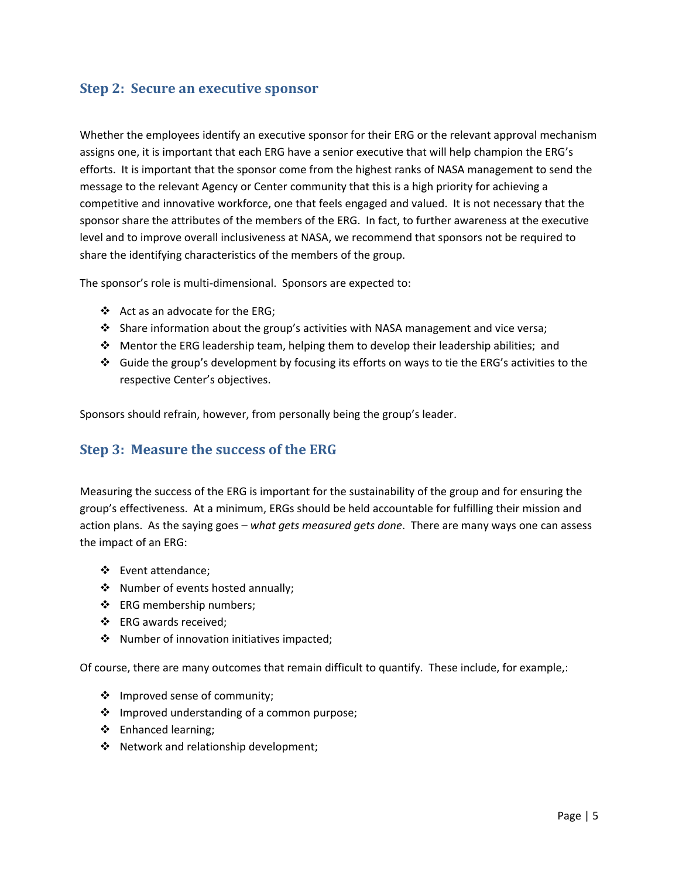#### **Step 2: Secure an executive sponsor**

Whether the employees identify an executive sponsor for their ERG or the relevant approval mechanism assigns one, it is important that each ERG have a senior executive that will help champion the ERG's efforts. It is important that the sponsor come from the highest ranks of NASA management to send the message to the relevant Agency or Center community that this is a high priority for achieving a competitive and innovative workforce, one that feels engaged and valued. It is not necessary that the sponsor share the attributes of the members of the ERG. In fact, to further awareness at the executive level and to improve overall inclusiveness at NASA, we recommend that sponsors not be required to share the identifying characteristics of the members of the group.

The sponsor's role is multi-dimensional. Sponsors are expected to:

- Act as an advocate for the ERG;
- $\cdot$  Share information about the group's activities with NASA management and vice versa;
- $\div$  Mentor the ERG leadership team, helping them to develop their leadership abilities; and
- Guide the group's development by focusing its efforts on ways to tie the ERG's activities to the respective Center's objectives.

Sponsors should refrain, however, from personally being the group's leader.

#### **Step 3: Measure the success of the ERG**

Measuring the success of the ERG is important for the sustainability of the group and for ensuring the group's effectiveness. At a minimum, ERGs should be held accountable for fulfilling their mission and action plans. As the saying goes – *what gets measured gets done*. There are many ways one can assess the impact of an ERG:

- ❖ Event attendance;
- Number of events hosted annually;
- ERG membership numbers;
- ERG awards received;
- ❖ Number of innovation initiatives impacted;

Of course, there are many outcomes that remain difficult to quantify. These include, for example,:

- Improved sense of community;
- ❖ Improved understanding of a common purpose;
- ❖ Enhanced learning;
- ◆ Network and relationship development;